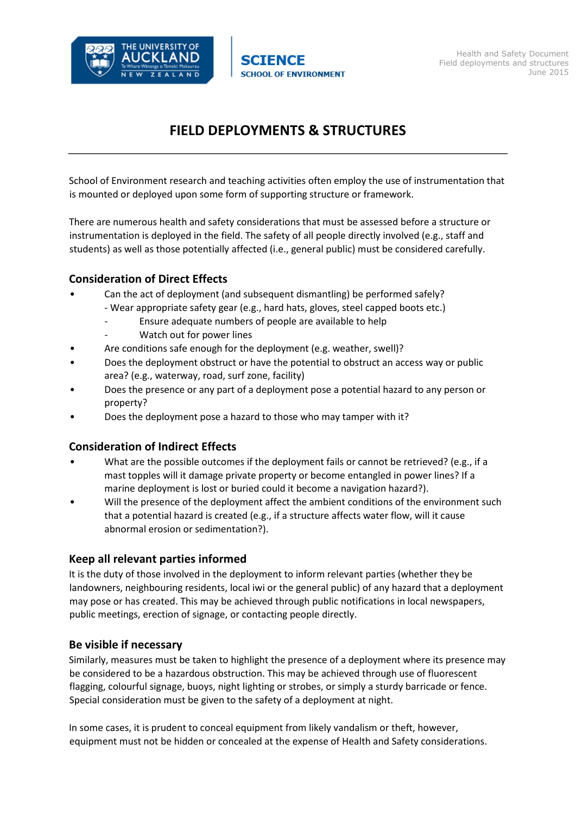

# **FIELD DEPLOYMENTS & STRUCTURES**

School of Environment research and teaching activities often employ the use of instrumentation that is mounted or deployed upon some form of supporting structure or framework.

There are numerous health and safety considerations that must be assessed before a structure or instrumentation is deployed in the field. The safety of all people directly involved (e.g., staff and students) as well as those potentially affected (i.e., general public) must be considered carefully.

## **Consideration of Direct Effects**

- Can the act of deployment (and subsequent dismantling) be performed safely?
	- ‐ Wear appropriate safety gear (e.g., hard hats, gloves, steel capped boots etc.)
		- ‐ Ensure adequate numbers of people are available to help
		- ‐ Watch out for power lines
- Are conditions safe enough for the deployment (e.g. weather, swell)?
- Does the deployment obstruct or have the potential to obstruct an access way or public area? (e.g., waterway, road, surf zone, facility)
- Does the presence or any part of a deployment pose a potential hazard to any person or property?
- Does the deployment pose a hazard to those who may tamper with it?

#### **Consideration of Indirect Effects**

- What are the possible outcomes if the deployment fails or cannot be retrieved? (e.g., if a mast topples will it damage private property or become entangled in power lines? If a marine deployment is lost or buried could it become a navigation hazard?).
- Will the presence of the deployment affect the ambient conditions of the environment such that a potential hazard is created (e.g., if a structure affects water flow, will it cause abnormal erosion or sedimentation?).

#### **Keep all relevant parties informed**

It is the duty of those involved in the deployment to inform relevant parties (whether they be landowners, neighbouring residents, local iwi or the general public) of any hazard that a deployment may pose or has created. This may be achieved through public notifications in local newspapers, public meetings, erection of signage, or contacting people directly.

#### **Be visible if necessary**

Similarly, measures must be taken to highlight the presence of a deployment where its presence may be considered to be a hazardous obstruction. This may be achieved through use of fluorescent flagging, colourful signage, buoys, night lighting or strobes, or simply a sturdy barricade or fence. Special consideration must be given to the safety of a deployment at night.

In some cases, it is prudent to conceal equipment from likely vandalism or theft, however, equipment must not be hidden or concealed at the expense of Health and Safety considerations.